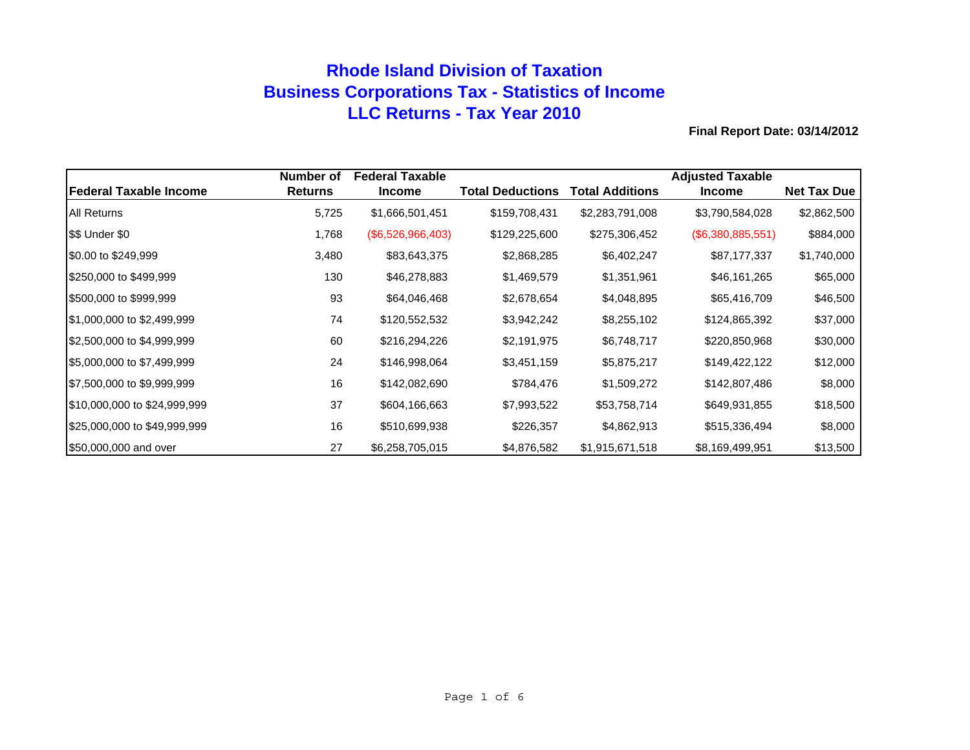# **Rhode Island Division of Taxation Business Corporations Tax - Statistics of Income LLC Returns - Tax Year 2010**

|                               | Number of      | <b>Federal Taxable</b> |                         |                        | <b>Adjusted Taxable</b> |                    |
|-------------------------------|----------------|------------------------|-------------------------|------------------------|-------------------------|--------------------|
| <b>Federal Taxable Income</b> | <b>Returns</b> | <b>Income</b>          | <b>Total Deductions</b> | <b>Total Additions</b> | <b>Income</b>           | <b>Net Tax Due</b> |
| <b>All Returns</b>            | 5,725          | \$1,666,501,451        | \$159,708,431           | \$2,283,791,008        | \$3,790,584,028         | \$2,862,500        |
| \$\$ Under \$0                | 1,768          | (\$6,526,966,403)      | \$129,225,600           | \$275,306,452          | (\$6,380,885,551)       | \$884,000          |
| \$0.00 to \$249,999           | 3,480          | \$83,643,375           | \$2,868,285             | \$6,402,247            | \$87,177,337            | \$1,740,000        |
| \$250,000 to \$499,999        | 130            | \$46,278,883           | \$1,469,579             | \$1,351,961            | \$46,161,265            | \$65,000           |
| \$500,000 to \$999,999        | 93             | \$64,046,468           | \$2,678,654             | \$4,048,895            | \$65,416,709            | \$46,500           |
| \$1,000,000 to \$2,499,999    | 74             | \$120,552,532          | \$3,942,242             | \$8,255,102            | \$124,865,392           | \$37,000           |
| \$2,500,000 to \$4,999,999    | 60             | \$216,294,226          | \$2,191,975             | \$6,748,717            | \$220,850,968           | \$30,000           |
| \$5,000,000 to \$7,499,999    | 24             | \$146,998,064          | \$3,451,159             | \$5,875,217            | \$149,422,122           | \$12,000           |
| \$7,500,000 to \$9,999,999    | 16             | \$142,082,690          | \$784,476               | \$1,509,272            | \$142,807,486           | \$8,000            |
| \$10,000,000 to \$24,999,999  | 37             | \$604,166,663          | \$7,993,522             | \$53,758,714           | \$649,931,855           | \$18,500           |
| \$25,000,000 to \$49,999,999  | 16             | \$510,699,938          | \$226,357               | \$4,862,913            | \$515,336,494           | \$8,000            |
| \$50,000,000 and over         | 27             | \$6,258,705,015        | \$4,876,582             | \$1,915,671,518        | \$8,169,499,951         | \$13,500           |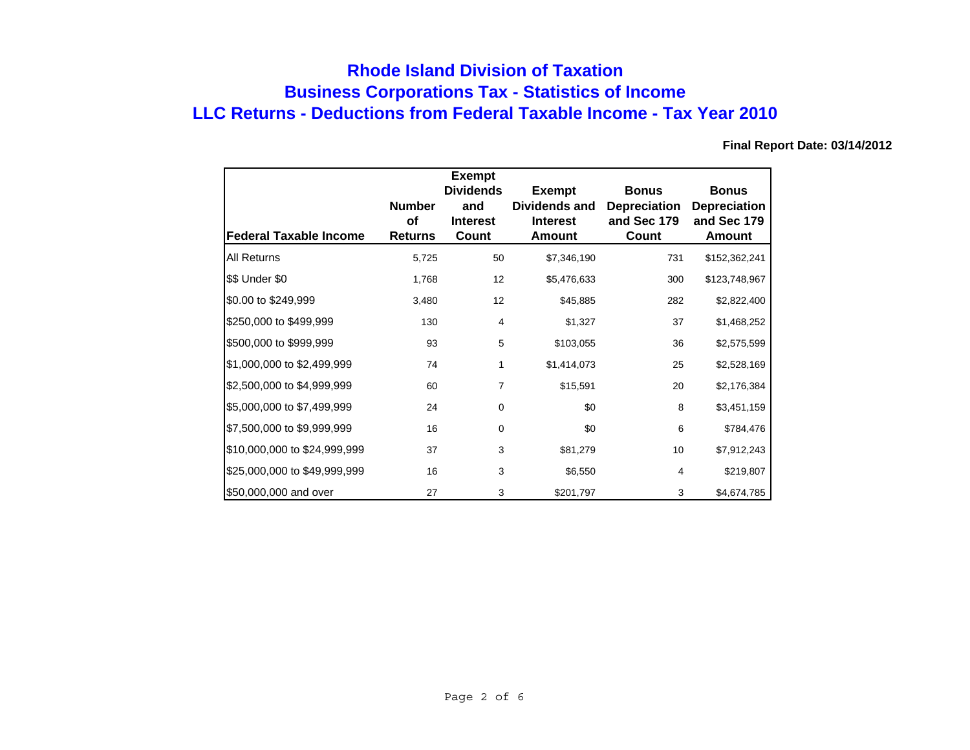# **Business Corporations Tax - Statistics of Income Rhode Island Division of Taxation LLC Returns - Deductions from Federal Taxable Income - Tax Year 2010**

|                               |                                              | <b>Exempt</b><br><b>Dividends</b> | <b>Exempt</b>                              | <b>Bonus</b>                                | <b>Bonus</b>                                 |
|-------------------------------|----------------------------------------------|-----------------------------------|--------------------------------------------|---------------------------------------------|----------------------------------------------|
| <b>Federal Taxable Income</b> | <b>Number</b><br><b>of</b><br><b>Returns</b> | and<br><b>Interest</b><br>Count   | Dividends and<br><b>Interest</b><br>Amount | <b>Depreciation</b><br>and Sec 179<br>Count | <b>Depreciation</b><br>and Sec 179<br>Amount |
| All Returns                   | 5,725                                        | 50                                | \$7,346,190                                | 731                                         | \$152,362,241                                |
| \$\$ Under \$0                | 1,768                                        | 12                                | \$5,476,633                                | 300                                         | \$123,748,967                                |
| \$0.00 to \$249,999           | 3,480                                        | 12                                | \$45,885                                   | 282                                         | \$2,822,400                                  |
| \$250,000 to \$499,999        | 130                                          | $\overline{4}$                    | \$1,327                                    | 37                                          | \$1,468,252                                  |
| \$500,000 to \$999,999        | 93                                           | 5                                 | \$103,055                                  | 36                                          | \$2,575,599                                  |
| \$1,000,000 to \$2,499,999    | 74                                           | 1                                 | \$1,414,073                                | 25                                          | \$2,528,169                                  |
| \$2,500,000 to \$4,999,999    | 60                                           | 7                                 | \$15,591                                   | 20                                          | \$2,176,384                                  |
| \$5,000,000 to \$7,499,999    | 24                                           | 0                                 | \$0                                        | 8                                           | \$3,451,159                                  |
| \$7,500,000 to \$9,999,999    | 16                                           | $\mathbf 0$                       | \$0                                        | 6                                           | \$784,476                                    |
| \$10,000,000 to \$24,999,999  | 37                                           | 3                                 | \$81,279                                   | 10                                          | \$7,912,243                                  |
| \$25,000,000 to \$49,999,999  | 16                                           | 3                                 | \$6,550                                    | 4                                           | \$219,807                                    |
| \$50,000,000 and over         | 27                                           | 3                                 | \$201,797                                  | 3                                           | \$4,674,785                                  |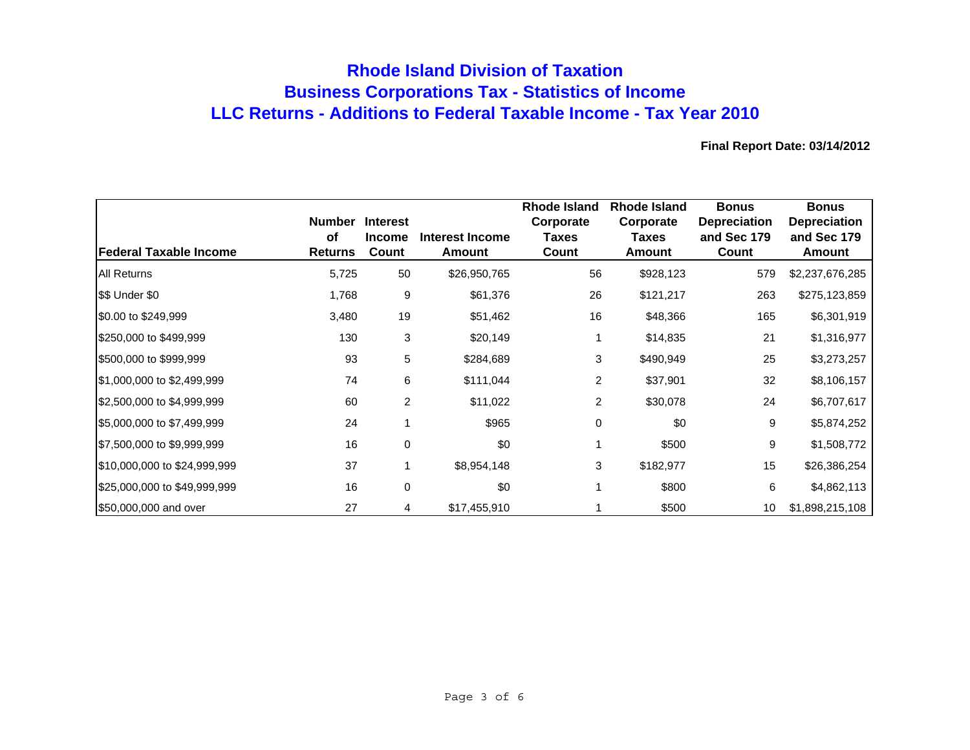## **Rhode Island Division of Taxation Business Corporations Tax - Statistics of Income LLC Returns - Additions to Federal Taxable Income - Tax Year 2010**

| Federal Taxable Income       | <b>Number</b><br>οf<br><b>Returns</b> | <b>Interest</b><br><b>Income</b><br>Count | <b>Interest Income</b><br>Amount | <b>Rhode Island</b><br>Corporate<br><b>Taxes</b><br>Count | Rhode Island<br>Corporate<br>Taxes<br>Amount | <b>Bonus</b><br><b>Depreciation</b><br>and Sec 179<br>Count | <b>Bonus</b><br><b>Depreciation</b><br>and Sec 179<br>Amount |
|------------------------------|---------------------------------------|-------------------------------------------|----------------------------------|-----------------------------------------------------------|----------------------------------------------|-------------------------------------------------------------|--------------------------------------------------------------|
| <b>All Returns</b>           | 5,725                                 | 50                                        | \$26,950,765                     | 56                                                        | \$928,123                                    | 579                                                         | \$2,237,676,285                                              |
| \$\$ Under \$0               | 1,768                                 | 9                                         | \$61,376                         | 26                                                        | \$121,217                                    | 263                                                         | \$275,123,859                                                |
| \$0.00 to \$249,999          | 3,480                                 | 19                                        | \$51,462                         | 16                                                        | \$48,366                                     | 165                                                         | \$6,301,919                                                  |
| \$250,000 to \$499,999       | 130                                   | 3                                         | \$20,149                         | 1                                                         | \$14,835                                     | 21                                                          | \$1,316,977                                                  |
| \$500,000 to \$999,999       | 93                                    | 5                                         | \$284,689                        | 3                                                         | \$490,949                                    | 25                                                          | \$3,273,257                                                  |
| \$1,000,000 to \$2,499,999   | 74                                    | 6                                         | \$111,044                        | $\overline{2}$                                            | \$37,901                                     | 32                                                          | \$8,106,157                                                  |
| \$2,500,000 to \$4,999,999   | 60                                    | 2                                         | \$11,022                         | 2                                                         | \$30,078                                     | 24                                                          | \$6,707,617                                                  |
| \$5,000,000 to \$7,499,999   | 24                                    |                                           | \$965                            | 0                                                         | \$0                                          | 9                                                           | \$5,874,252                                                  |
| \$7,500,000 to \$9,999,999   | 16                                    | 0                                         | \$0                              | 1                                                         | \$500                                        | 9                                                           | \$1,508,772                                                  |
| \$10,000,000 to \$24,999,999 | 37                                    |                                           | \$8,954,148                      | 3                                                         | \$182,977                                    | 15                                                          | \$26,386,254                                                 |
| \$25,000,000 to \$49,999,999 | 16                                    | 0                                         | \$0                              | 1                                                         | \$800                                        | 6                                                           | \$4,862,113                                                  |
| \$50,000,000 and over        | 27                                    | 4                                         | \$17,455,910                     |                                                           | \$500                                        | 10                                                          | \$1,898,215,108                                              |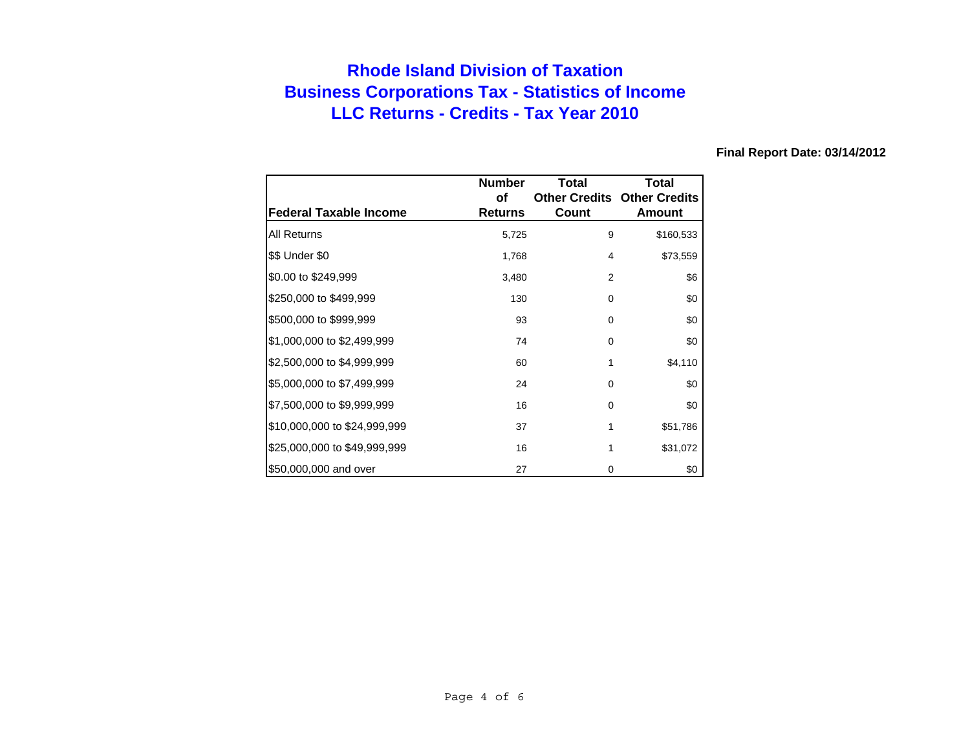# **Rhode Island Division of Taxation Business Corporations Tax - Statistics of Income LLC Returns - Credits - Tax Year 2010**

|                               | <b>Number</b>  | Total    | Total                              |
|-------------------------------|----------------|----------|------------------------------------|
|                               | οf             |          | <b>Other Credits Other Credits</b> |
| <b>Federal Taxable Income</b> | <b>Returns</b> | Count    | Amount                             |
| All Returns                   | 5,725          | 9        | \$160,533                          |
| \$\$ Under \$0                | 1,768          | 4        | \$73,559                           |
| \$0.00 to \$249,999           | 3,480          | 2        | \$6                                |
| \$250,000 to \$499,999        | 130            | $\Omega$ | \$0                                |
| \$500,000 to \$999,999        | 93             | 0        | \$0                                |
| \$1,000,000 to \$2,499,999    | 74             | 0        | \$0                                |
| \$2,500,000 to \$4,999,999    | 60             | 1        | \$4,110                            |
| \$5,000,000 to \$7,499,999    | 24             | 0        | \$0                                |
| \$7,500,000 to \$9,999,999    | 16             | 0        | \$0                                |
| \$10,000,000 to \$24,999,999  | 37             | 1        | \$51,786                           |
| \$25,000,000 to \$49,999,999  | 16             | 1        | \$31,072                           |
| \$50,000,000 and over         | 27             | 0        | \$0                                |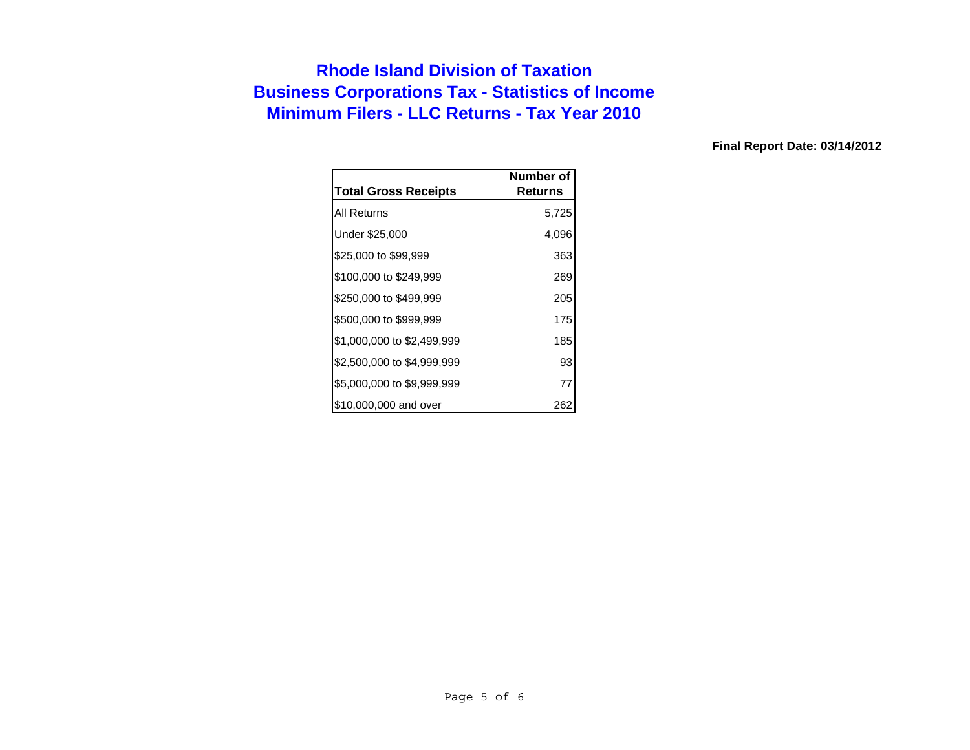# **Rhode Island Division of Taxation Business Corporations Tax - Statistics of Income Minimum Filers - LLC Returns - Tax Year 2010**

|                             | Number of |
|-----------------------------|-----------|
| <b>Total Gross Receipts</b> | Returns   |
| All Returns                 | 5,725     |
| Under \$25,000              | 4,096     |
| \$25,000 to \$99,999        | 363       |
| \$100,000 to \$249,999      | 269       |
| \$250,000 to \$499,999      | 205       |
| \$500,000 to \$999,999      | 175       |
| \$1,000,000 to \$2,499,999  | 185       |
| \$2,500,000 to \$4,999,999  | 93        |
| \$5,000,000 to \$9,999,999  | 77        |
| \$10,000,000 and over       | 262       |